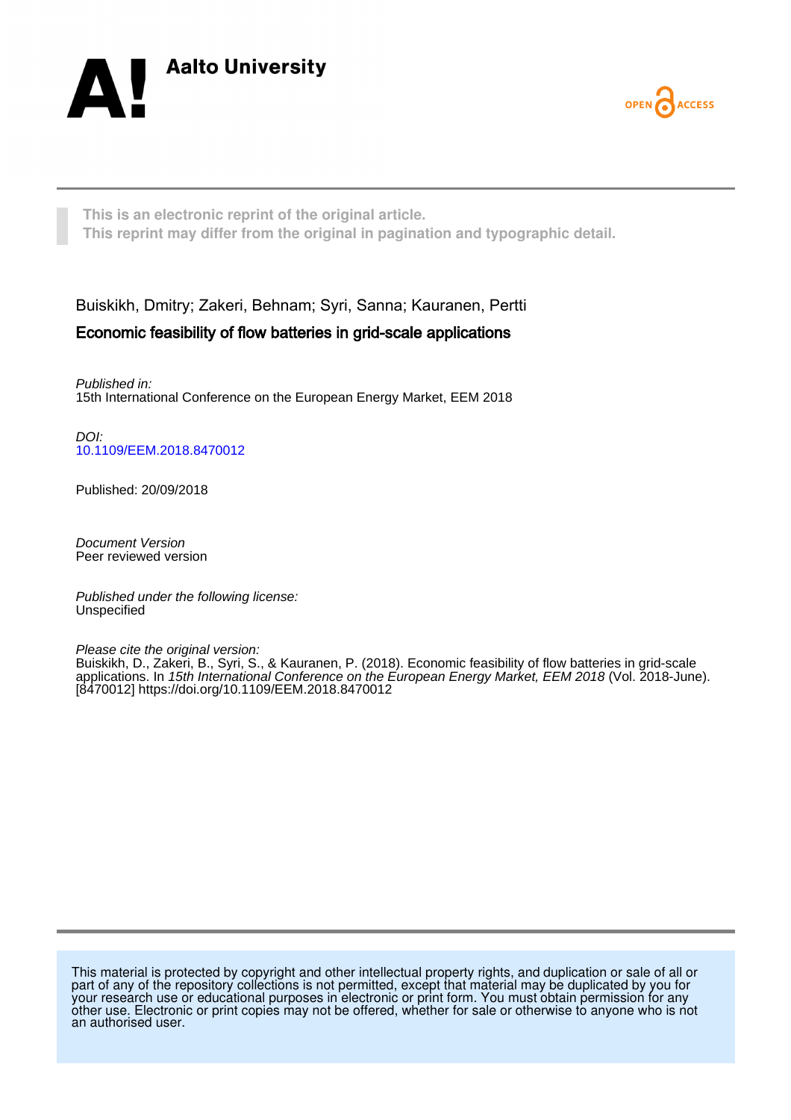



**This is an electronic reprint of the original article. This reprint may differ from the original in pagination and typographic detail.**

Buiskikh, Dmitry; Zakeri, Behnam; Syri, Sanna; Kauranen, Pertti

# Economic feasibility of flow batteries in grid-scale applications

Published in: 15th International Conference on the European Energy Market, EEM 2018

DOI: [10.1109/EEM.2018.8470012](https://doi.org/10.1109/EEM.2018.8470012)

Published: 20/09/2018

Document Version Peer reviewed version

Published under the following license: Unspecified

Please cite the original version:

Buiskikh, D., Zakeri, B., Syri, S., & Kauranen, P. (2018). Economic feasibility of flow batteries in grid-scale applications. In 15th International Conference on the European Energy Market, EEM 2018 (Vol. 2018-June). [8470012]<https://doi.org/10.1109/EEM.2018.8470012>

This material is protected by copyright and other intellectual property rights, and duplication or sale of all or part of any of the repository collections is not permitted, except that material may be duplicated by you for your research use or educational purposes in electronic or print form. You must obtain permission for any other use. Electronic or print copies may not be offered, whether for sale or otherwise to anyone who is not an authorised user.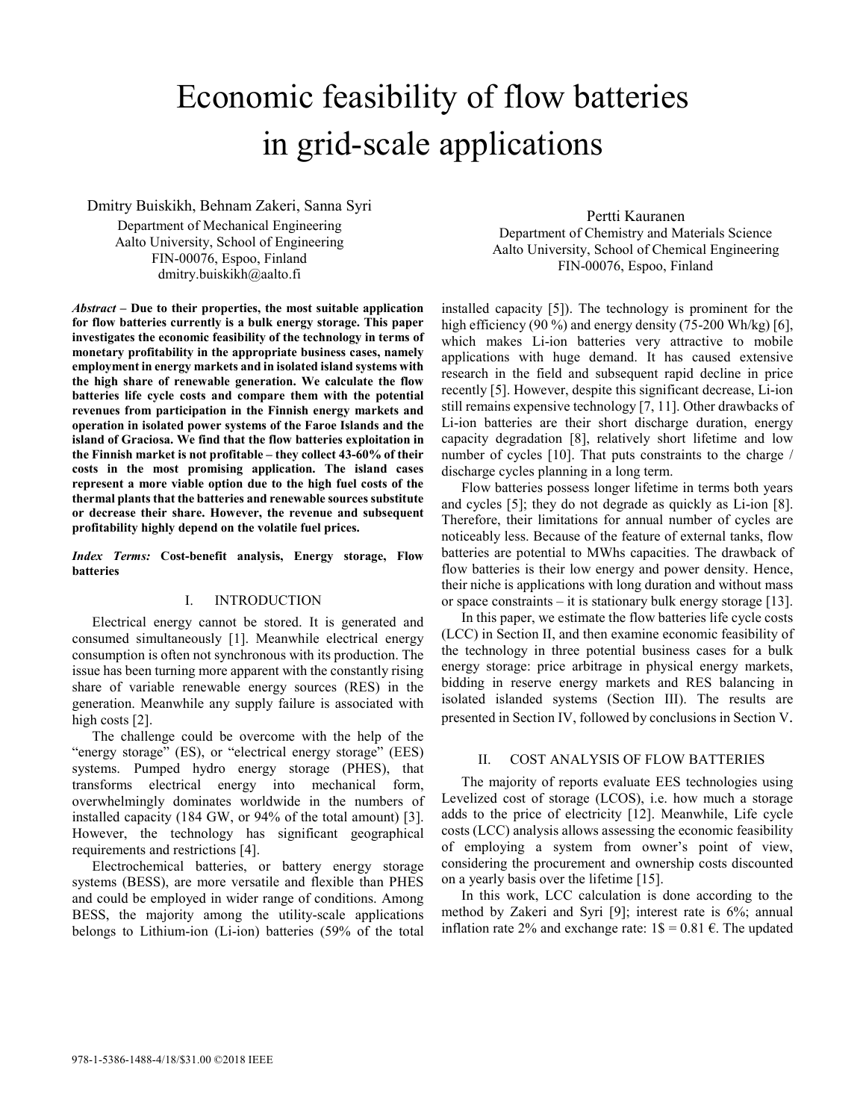# Economic feasibility of flow batteries in grid-scale applications

Dmitry Buiskikh, Behnam Zakeri, Sanna Syri

Department of Mechanical Engineering Aalto University, School of Engineering FIN-00076, Espoo, Finland dmitry.buiskikh@aalto.fi

*Abstract* **– Due to their properties, the most suitable application for flow batteries currently is a bulk energy storage. This paper investigates the economic feasibility of the technology in terms of monetary profitability in the appropriate business cases, namely employment in energy markets and in isolated island systems with the high share of renewable generation. We calculate the flow batteries life cycle costs and compare them with the potential revenues from participation in the Finnish energy markets and operation in isolated power systems of the Faroe Islands and the island of Graciosa. We find that the flow batteries exploitation in the Finnish market is not profitable – they collect 43-60% of their costs in the most promising application. The island cases represent a more viable option due to the high fuel costs of the thermal plants that the batteries and renewable sources substitute or decrease their share. However, the revenue and subsequent profitability highly depend on the volatile fuel prices.**

*Index Terms:* **Cost-benefit analysis, Energy storage, Flow batteries** 

# I. INTRODUCTION

Electrical energy cannot be stored. It is generated and consumed simultaneously [1]. Meanwhile electrical energy consumption is often not synchronous with its production. The issue has been turning more apparent with the constantly rising share of variable renewable energy sources (RES) in the generation. Meanwhile any supply failure is associated with high costs [2].

The challenge could be overcome with the help of the "energy storage" (ES), or "electrical energy storage" (EES) systems. Pumped hydro energy storage (PHES), that transforms electrical energy into mechanical form, overwhelmingly dominates worldwide in the numbers of installed capacity (184 GW, or 94% of the total amount) [3]. However, the technology has significant geographical requirements and restrictions [4].

Electrochemical batteries, or battery energy storage systems (BESS), are more versatile and flexible than PHES and could be employed in wider range of conditions. Among BESS, the majority among the utility-scale applications belongs to Lithium-ion (Li-ion) batteries (59% of the total

Pertti Kauranen Department of Chemistry and Materials Science Aalto University, School of Chemical Engineering FIN-00076, Espoo, Finland

installed capacity [5]). The technology is prominent for the high efficiency (90 %) and energy density (75-200 Wh/kg) [6], which makes Li-ion batteries very attractive to mobile applications with huge demand. It has caused extensive research in the field and subsequent rapid decline in price recently [5]. However, despite this significant decrease, Li-ion still remains expensive technology [7, 11]. Other drawbacks of Li-ion batteries are their short discharge duration, energy capacity degradation [8], relatively short lifetime and low number of cycles [10]. That puts constraints to the charge / discharge cycles planning in a long term.

Flow batteries possess longer lifetime in terms both years and cycles [5]; they do not degrade as quickly as Li-ion [8]. Therefore, their limitations for annual number of cycles are noticeably less. Because of the feature of external tanks, flow batteries are potential to MWhs capacities. The drawback of flow batteries is their low energy and power density. Hence, their niche is applications with long duration and without mass or space constraints – it is stationary bulk energy storage [13].

In this paper, we estimate the flow batteries life cycle costs (LCC) in Section II, and then examine economic feasibility of the technology in three potential business cases for a bulk energy storage: price arbitrage in physical energy markets, bidding in reserve energy markets and RES balancing in isolated islanded systems (Section III). The results are presented in Section IV, followed by conclusions in Section V.

#### II. COST ANALYSIS OF FLOW BATTERIES

The majority of reports evaluate EES technologies using Levelized cost of storage (LCOS), i.e. how much a storage adds to the price of electricity [12]. Meanwhile, Life cycle costs (LCC) analysis allows assessing the economic feasibility of employing a system from owner's point of view, considering the procurement and ownership costs discounted on a yearly basis over the lifetime [15].

In this work, LCC calculation is done according to the method by Zakeri and Syri [9]; interest rate is 6%; annual inflation rate 2% and exchange rate:  $1\text{\textsterling} = 0.81 \text{\textsterling}$ . The updated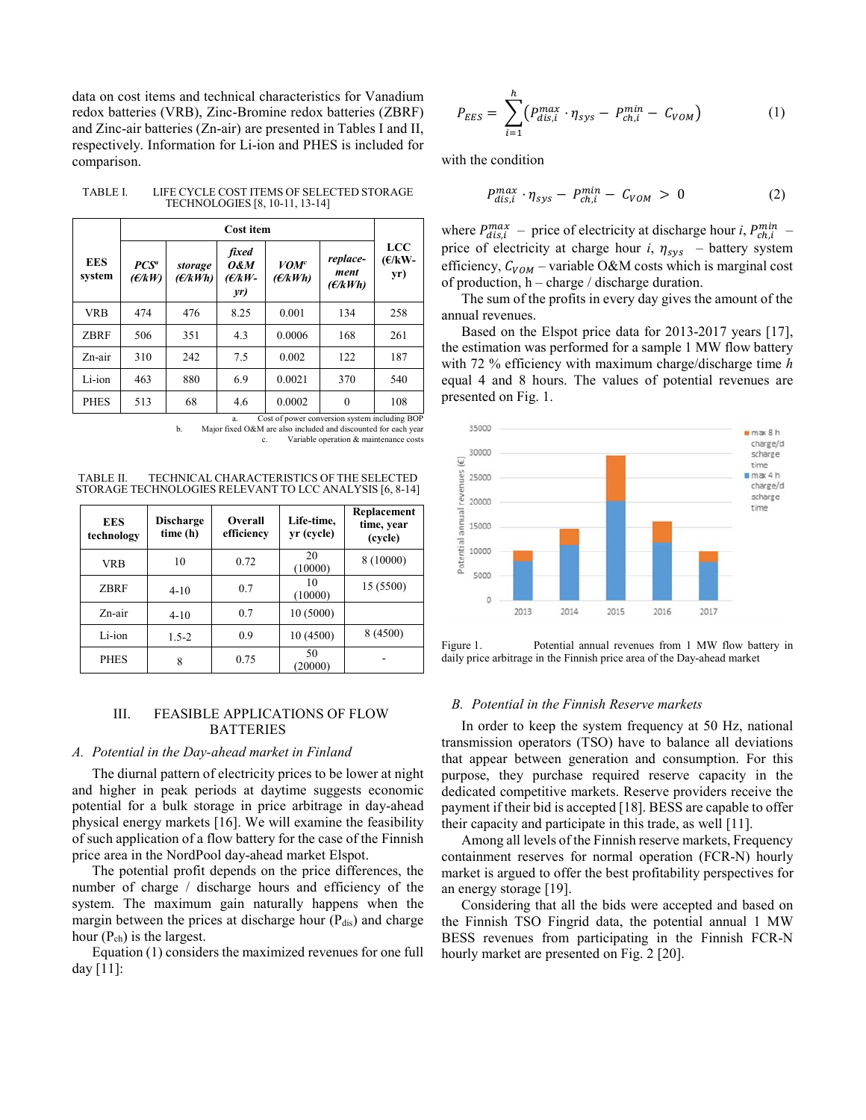data on cost items and technical characteristics for Vanadium redox batteries (VRB), Zinc-Bromine redox batteries (ZBRF) and Zinc-air batteries (Zn-air) are presented in Tables I and II, respectively. Information for Li-ion and PHES is included for comparison.

| Cost item                  |                    |                                             |                                   |                             |                                |
|----------------------------|--------------------|---------------------------------------------|-----------------------------------|-----------------------------|--------------------------------|
| PCS <sup>a</sup><br>(E/kW) | storage<br>(E/kWh) | fixed<br><b>O&amp;M</b><br>$(E/kW -$<br>yr) | <b>VOM<sup>c</sup></b><br>(E/kWh) | replace-<br>ment<br>(E/kWh) | <b>LCC</b><br>$(E/kW -$<br>yr) |
| 474                        | 476                | 8.25                                        | 0.001                             | 134                         | 258                            |
| 506                        | 351                | 4.3                                         | 0.0006                            | 168                         | 261                            |
| 310                        | 242                | 7.5                                         | 0.002                             | 122                         | 187                            |
| 463                        | 880                | 6.9                                         | 0.0021                            | 370                         | 540                            |
| 513                        | 68                 | 4.6                                         | 0.0002                            | $\theta$                    | 108                            |
|                            |                    |                                             |                                   |                             |                                |

TABLE I. LIFE CYCLE COST ITEMS OF SELECTED STORAGE TECHNOLOGIES [8, 10-11, 13-14]

a. Cost of power conversion system including BOP

Major fixed O&M are also included and discounted for each year c. Variable operation & maintenance costs

TABLE II. TECHNICAL CHARACTERISTICS OF THE SELECTED STORAGE TECHNOLOGIES RELEVANT TO LCC ANALYSIS [6, 8-14]

| <b>EES</b><br>technology | <b>Discharge</b><br>time (h) | <b>Overall</b><br>efficiency | Life-time,<br>yr (cycle) | Replacement<br>time, year<br>(cycle) |
|--------------------------|------------------------------|------------------------------|--------------------------|--------------------------------------|
| <b>VRB</b>               | 10                           | 0.72                         | 20<br>(10000)            | 8 (10000)                            |
| <b>ZBRF</b>              | $4 - 10$                     | 0.7                          | 10<br>(10000)            | 15 (5500)                            |
| Zn-air                   | $4 - 10$                     | 0.7                          | 10(5000)                 |                                      |
| Li-ion                   | $1.5 - 2$                    | 0.9                          | 10(4500)                 | 8 (4500)                             |
| <b>PHES</b>              | 8                            | 0.75                         | 50<br>(20000)            |                                      |

# III. FEASIBLE APPLICATIONS OF FLOW BATTERIES

# *A. Potential in the Day-ahead market in Finland*

The diurnal pattern of electricity prices to be lower at night and higher in peak periods at daytime suggests economic potential for a bulk storage in price arbitrage in day-ahead physical energy markets [16]. We will examine the feasibility of such application of a flow battery for the case of the Finnish price area in the NordPool day-ahead market Elspot.

The potential profit depends on the price differences, the number of charge / discharge hours and efficiency of the system. The maximum gain naturally happens when the margin between the prices at discharge hour  $(P_{dis})$  and charge hour  $(P_{ch})$  is the largest.

Equation (1) considers the maximized revenues for one full day [11]:

$$
P_{EES} = \sum_{i=1}^{h} (P_{dis,i}^{max} \cdot \eta_{sys} - P_{ch,i}^{min} - C_{VOM})
$$
 (1)

with the condition

$$
P_{dis,i}^{max} \cdot \eta_{sys} - P_{ch,i}^{min} - C_{VOM} > 0 \tag{2}
$$

where  $P_{dis,i}^{max}$  – price of electricity at discharge hour *i*,  $P_{ch,i}^{min}$  – price of electricity at charge hour  $i$ ,  $\eta_{sys}$  – battery system efficiency,  $C_{VOM}$  – variable O&M costs which is marginal cost of production, h – charge / discharge duration.

The sum of the profits in every day gives the amount of the annual revenues.

Based on the Elspot price data for 2013-2017 years [17], the estimation was performed for a sample 1 MW flow battery with 72 % efficiency with maximum charge/discharge time *h* equal 4 and 8 hours. The values of potential revenues are presented on Fig. 1.



Figure 1. Potential annual revenues from 1 MW flow battery in daily price arbitrage in the Finnish price area of the Day-ahead market

# *B. Potential in the Finnish Reserve markets*

In order to keep the system frequency at 50 Hz, national transmission operators (TSO) have to balance all deviations that appear between generation and consumption. For this purpose, they purchase required reserve capacity in the dedicated competitive markets. Reserve providers receive the payment if their bid is accepted [18]. BESS are capable to offer their capacity and participate in this trade, as well [11].

Among all levels of the Finnish reserve markets, Frequency containment reserves for normal operation (FCR-N) hourly market is argued to offer the best profitability perspectives for an energy storage [19].

Considering that all the bids were accepted and based on the Finnish TSO Fingrid data, the potential annual 1 MW BESS revenues from participating in the Finnish FCR-N hourly market are presented on Fig. 2 [20].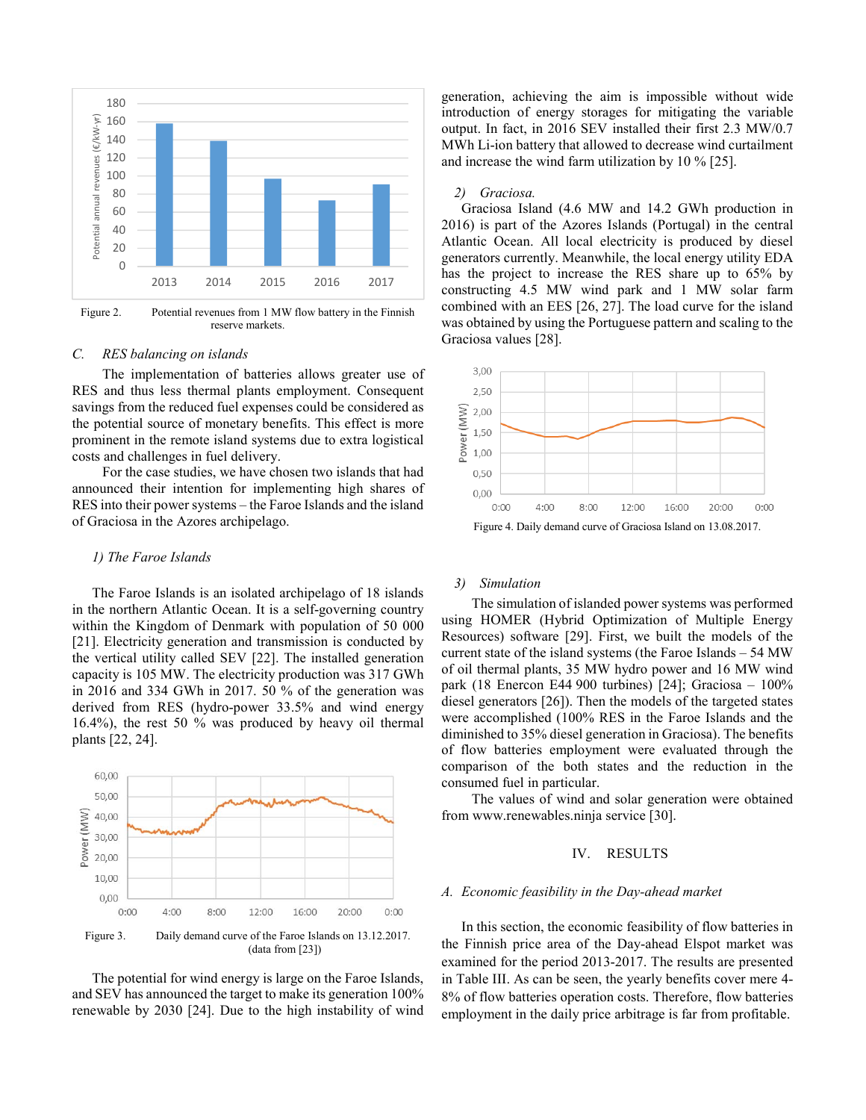

Figure 2. Potential revenues from 1 MW flow battery in the Finnish reserve markets.

#### *C. RES balancing on islands*

The implementation of batteries allows greater use of RES and thus less thermal plants employment. Consequent savings from the reduced fuel expenses could be considered as the potential source of monetary benefits. This effect is more prominent in the remote island systems due to extra logistical costs and challenges in fuel delivery.

For the case studies, we have chosen two islands that had announced their intention for implementing high shares of RES into their power systems – the Faroe Islands and the island of Graciosa in the Azores archipelago.

#### *1) The Faroe Islands*

The Faroe Islands is an isolated archipelago of 18 islands in the northern Atlantic Ocean. It is a self-governing country within the Kingdom of Denmark with population of 50 000 [21]. Electricity generation and transmission is conducted by the vertical utility called SEV [22]. The installed generation capacity is 105 MW. The electricity production was 317 GWh in 2016 and 334 GWh in 2017. 50 % of the generation was derived from RES (hydro-power 33.5% and wind energy 16.4%), the rest 50 % was produced by heavy oil thermal plants [22, 24].



The potential for wind energy is large on the Faroe Islands, and SEV has announced the target to make its generation 100% renewable by 2030 [24]. Due to the high instability of wind

generation, achieving the aim is impossible without wide introduction of energy storages for mitigating the variable output. In fact, in 2016 SEV installed their first 2.3 MW/0.7 MWh Li-ion battery that allowed to decrease wind curtailment and increase the wind farm utilization by 10 % [25].

#### *2) Graciosa.*

Graciosa Island (4.6 MW and 14.2 GWh production in 2016) is part of the Azores Islands (Portugal) in the central Atlantic Ocean. All local electricity is produced by diesel generators currently. Meanwhile, the local energy utility EDA has the project to increase the RES share up to 65% by constructing 4.5 MW wind park and 1 MW solar farm combined with an EES [26, 27]. The load curve for the island was obtained by using the Portuguese pattern and scaling to the Graciosa values [28].



### *3) Simulation*

The simulation of islanded power systems was performed using HOMER (Hybrid Optimization of Multiple Energy Resources) software [29]. First, we built the models of the current state of the island systems (the Faroe Islands – 54 MW of oil thermal plants, 35 MW hydro power and 16 MW wind park (18 Enercon E44 900 turbines) [24]; Graciosa – 100% diesel generators [26]). Then the models of the targeted states were accomplished (100% RES in the Faroe Islands and the diminished to 35% diesel generation in Graciosa). The benefits of flow batteries employment were evaluated through the comparison of the both states and the reduction in the consumed fuel in particular.

The values of wind and solar generation were obtained from www.renewables.ninja service [30].

# IV. RESULTS

#### *A. Economic feasibility in the Day-ahead market*

In this section, the economic feasibility of flow batteries in the Finnish price area of the Day-ahead Elspot market was examined for the period 2013-2017. The results are presented in Table III. As can be seen, the yearly benefits cover mere 4- 8% of flow batteries operation costs. Therefore, flow batteries employment in the daily price arbitrage is far from profitable.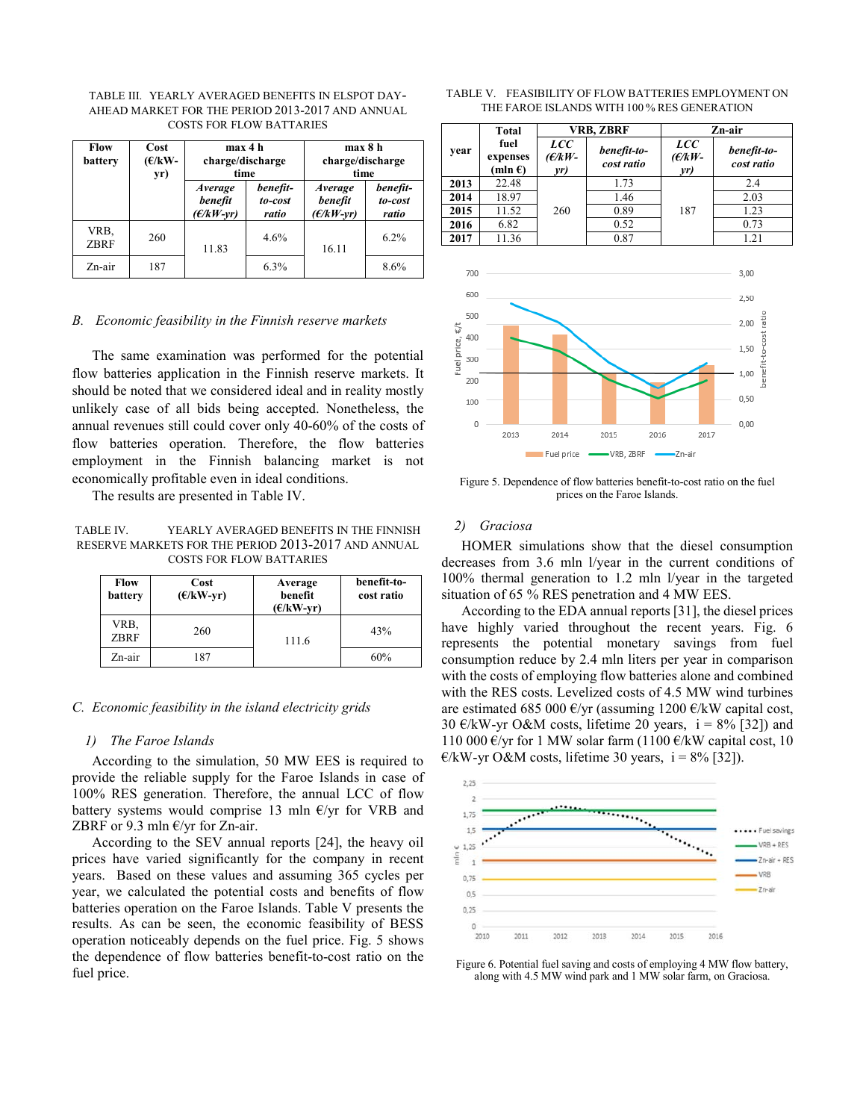| TABLE III.   YEARLY AVERAGED BENEFITS IN ELSPOT DAY- |                                 |  |  |
|------------------------------------------------------|---------------------------------|--|--|
| AHEAD MARKET FOR THE PERIOD 2013-2017 AND ANNUAL     |                                 |  |  |
|                                                      | <b>COSTS FOR FLOW BATTARIES</b> |  |  |

| Flow<br>battery     | Cost<br>$(E/KW-$<br>yr) | max 4 h<br>charge/discharge<br>time      |                              | max 8 h<br>charge/discharge<br>time |                              |
|---------------------|-------------------------|------------------------------------------|------------------------------|-------------------------------------|------------------------------|
|                     |                         | <i>Average</i><br>benefit<br>$(E/kW-vr)$ | benefit-<br>to-cost<br>ratio | Average<br>benefit<br>$(E/kW-vr)$   | benefit-<br>to-cost<br>ratio |
| VRB.<br><b>ZBRF</b> | 260                     | 11.83                                    | 4.6%                         | 16.11                               | 6.2%                         |
| Zn-air              | 187                     |                                          | 6.3%                         |                                     | 8.6%                         |

#### *B. Economic feasibility in the Finnish reserve markets*

The same examination was performed for the potential flow batteries application in the Finnish reserve markets. It should be noted that we considered ideal and in reality mostly unlikely case of all bids being accepted. Nonetheless, the annual revenues still could cover only 40-60% of the costs of flow batteries operation. Therefore, the flow batteries employment in the Finnish balancing market is not economically profitable even in ideal conditions.

The results are presented in Table IV.

TABLE IV. YEARLY AVERAGED BENEFITS IN THE FINNISH RESERVE MARKETS FOR THE PERIOD 2013-2017 AND ANNUAL COSTS FOR FLOW BATTARIES

| <b>Flow</b><br>battery | Cost<br>$(E/kW-yr)$ | Average<br>benefit<br>$(E/kW-vr)$ | benefit-to-<br>cost ratio |
|------------------------|---------------------|-----------------------------------|---------------------------|
| VRB,<br><b>ZBRF</b>    | 260                 | 111.6                             | 43%                       |
| Zn-air                 | 187                 |                                   | 60%                       |

#### *C. Economic feasibility in the island electricity grids*

#### *1) The Faroe Islands*

According to the simulation, 50 MW EES is required to provide the reliable supply for the Faroe Islands in case of 100% RES generation. Therefore, the annual LCC of flow battery systems would comprise 13 mln  $E/yr$  for VRB and ZBRF or 9.3 mln  $E/yr$  for Zn-air.

According to the SEV annual reports [24], the heavy oil prices have varied significantly for the company in recent years. Based on these values and assuming 365 cycles per year, we calculated the potential costs and benefits of flow batteries operation on the Faroe Islands. Table V presents the results. As can be seen, the economic feasibility of BESS operation noticeably depends on the fuel price. Fig. 5 shows the dependence of flow batteries benefit-to-cost ratio on the fuel price.

|  | TABLE V. FEASIBILITY OF FLOW BATTERIES EMPLOYMENT ON |  |
|--|------------------------------------------------------|--|
|  | THE FAROE ISLANDS WITH 100 % RES GENERATION          |  |

|                                    | Total                                 |                                | VRB, ZBRF                 |                                | Zn-air                        |
|------------------------------------|---------------------------------------|--------------------------------|---------------------------|--------------------------------|-------------------------------|
| year                               | fuel<br>expenses<br>(mln $\epsilon$ ) | <b>LCC</b><br>$(E/kW -$<br>yr) | benefit-to-<br>cost ratio | <b>LCC</b><br>$(E/KW -$<br>yr) | benefit-to-<br>cost ratio     |
| 2013                               | 22.48                                 |                                | 1.73                      |                                | 2.4                           |
| 2014                               | 18.97                                 |                                | 1.46                      |                                | 2.03                          |
| 2015                               | 11.52                                 | 260                            | 0.89                      | 187                            | 1.23                          |
| 2016                               | 6.82                                  |                                | 0.52                      |                                | 0.73                          |
| 2017                               | 11.36                                 |                                | 0.87                      |                                | 1.21                          |
| 700                                |                                       |                                |                           |                                | 3,00                          |
| 600                                |                                       |                                |                           |                                | 2,50                          |
| 500<br>400                         |                                       |                                |                           |                                | 2,00                          |
| Fuel price, $\varepsilon/t$<br>300 |                                       |                                |                           |                                | benefit-to-cost ratio<br>1,50 |
| 200<br>100                         |                                       |                                |                           |                                | 1,00<br>0,50                  |

Figure 5. Dependence of flow batteries benefit-to-cost ratio on the fuel prices on the Faroe Islands.

 $-$  VRB, ZBRF  $-$ 

2015

2016

2014

Fuel price -

 $0.00$ 

2017

-Zn-air

#### *2) Graciosa*

 $\Omega$ 

2013

HOMER simulations show that the diesel consumption decreases from 3.6 mln l/year in the current conditions of 100% thermal generation to 1.2 mln l/year in the targeted situation of 65 % RES penetration and 4 MW EES.

According to the EDA annual reports [31], the diesel prices have highly varied throughout the recent years. Fig. 6 represents the potential monetary savings from fuel consumption reduce by 2.4 mln liters per year in comparison with the costs of employing flow batteries alone and combined with the RES costs. Levelized costs of 4.5 MW wind turbines are estimated 685 000 €/yr (assuming 1200 €/kW capital cost, 30  $\epsilon$ /kW-yr O&M costs, lifetime 20 years, i = 8% [32]) and 110 000 €/yr for 1 MW solar farm (1100 €/kW capital cost, 10  $\epsilon$ /kW-yr O&M costs, lifetime 30 years, i = 8% [32]).



Figure 6. Potential fuel saving and costs of employing 4 MW flow battery, along with 4.5 MW wind park and 1 MW solar farm, on Graciosa.